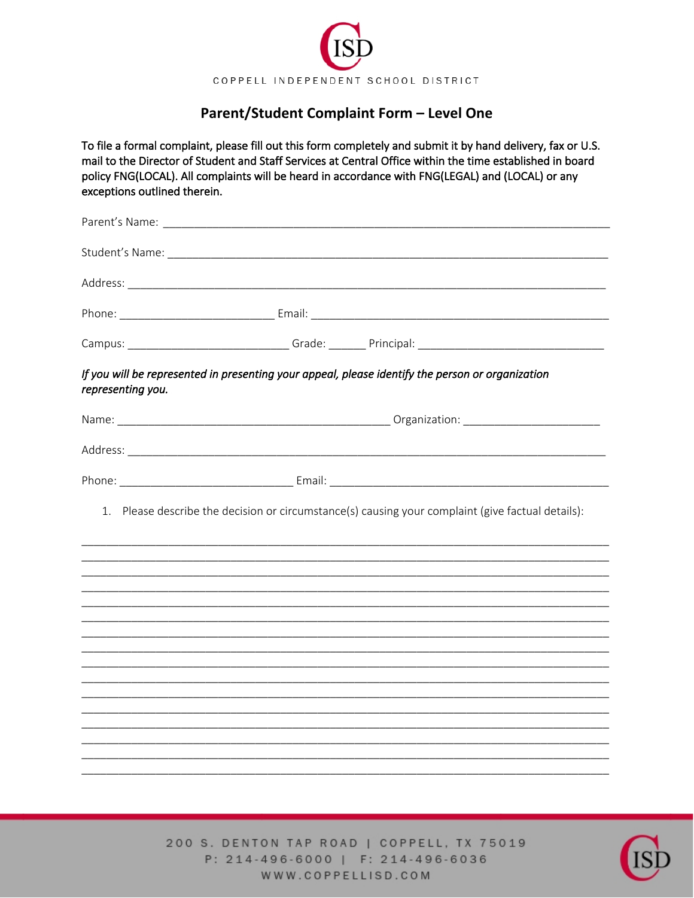

## Parent/Student Complaint Form - Level One

To file a formal complaint, please fill out this form completely and submit it by hand delivery, fax or U.S. mail to the Director of Student and Staff Services at Central Office within the time established in board policy FNG(LOCAL). All complaints will be heard in accordance with FNG(LEGAL) and (LOCAL) or any exceptions outlined therein.

| representing you. | If you will be represented in presenting your appeal, please identify the person or organization  |  |  |
|-------------------|---------------------------------------------------------------------------------------------------|--|--|
|                   |                                                                                                   |  |  |
|                   |                                                                                                   |  |  |
|                   |                                                                                                   |  |  |
|                   | 1. Please describe the decision or circumstance(s) causing your complaint (give factual details): |  |  |
|                   |                                                                                                   |  |  |
|                   |                                                                                                   |  |  |
|                   |                                                                                                   |  |  |
|                   |                                                                                                   |  |  |
|                   |                                                                                                   |  |  |
|                   |                                                                                                   |  |  |
|                   |                                                                                                   |  |  |
|                   |                                                                                                   |  |  |
|                   |                                                                                                   |  |  |

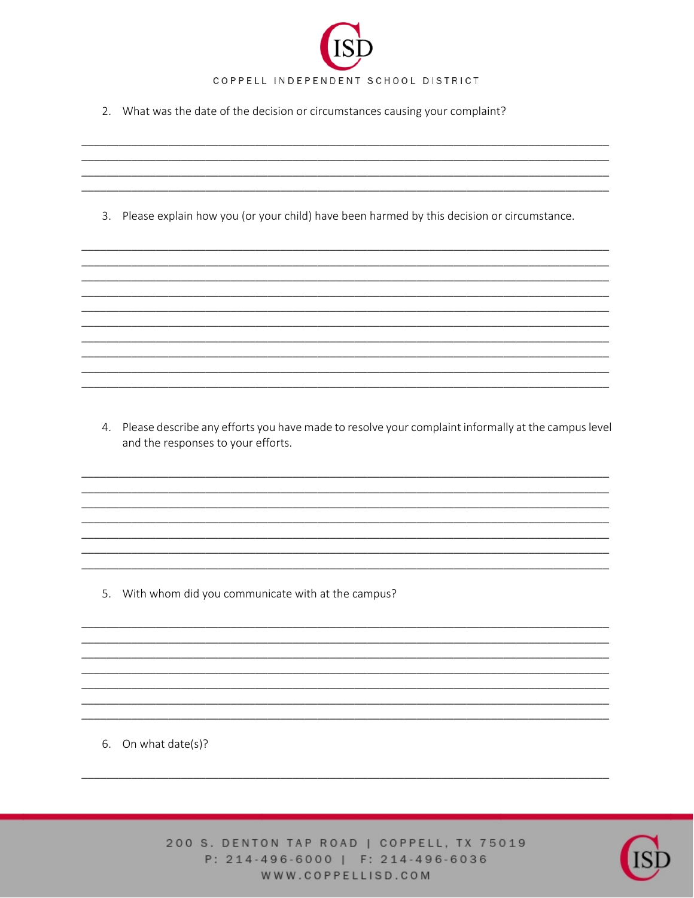

2. What was the date of the decision or circumstances causing your complaint?

3. Please explain how you (or your child) have been harmed by this decision or circumstance.

4. Please describe any efforts you have made to resolve your complaint informally at the campus level and the responses to your efforts.

5. With whom did you communicate with at the campus?

6. On what date(s)?